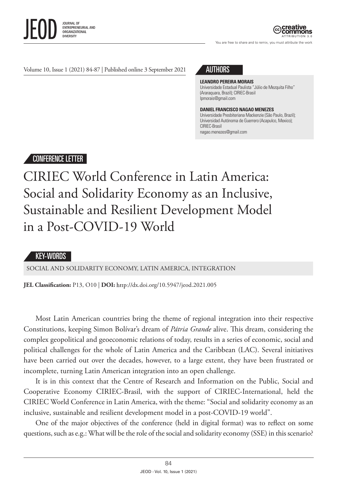

You are free to share and to remix, you must attribute the work

Volume 10, Issue 1 (2021) 84-87 | Published online 3 September 2021 AUTHORS

#### **LEANDRO PEREIRA MORAIS**

Universidade Estadual Paulista "Júlio de Mezquita Filho" (Araraquara, Brazil); CIRIEC-Brasil lpmorais@gmail.com

#### **DANIEL FRANCISCO NAGAO MENEZES**

Universidade Presbiteriana Mackenzie (São Paulo, Brazil); Universidad Autónoma de Guerrero (Acapulco, Mexico); CIRIEC-Brasil nagao.menezes@gmail.com

# CONFERENCE LETTER

# CIRIEC World Conference in Latin America: Social and Solidarity Economy as an Inclusive, Sustainable and Resilient Development Model in a Post-COVID-19 World

## KEY-WORDS

SOCIAL AND SOLIDARITY ECONOMY, LATIN AMERICA, INTEGRATION

**JEL Classification:** P13, O10 | **DOI:** dx.doi.org/10.5947/jeod.2021.005

Most Latin American countries bring the theme of regional integration into their respective Constitutions, keeping Simon Bolívar's dream of *Pátria Grande* alive. This dream, considering the complex geopolitical and geoeconomic relations of today, results in a series of economic, social and political challenges for the whole of Latin America and the Caribbean (LAC). Several initiatives have been carried out over the decades, however, to a large extent, they have been frustrated or incomplete, turning Latin American integration into an open challenge.

It is in this context that the Centre of Research and Information on the Public, Social and Cooperative Economy CIRIEC-Brasil, with the support of CIRIEC-International, held the CIRIEC World Conference in Latin America, with the theme: "Social and solidarity economy as an inclusive, sustainable and resilient development model in a post-COVID-19 world".

One of the major objectives of the conference (held in digital format) was to reflect on some questions, such as e.g.: What will be the role of the social and solidarity economy (SSE) in this scenario?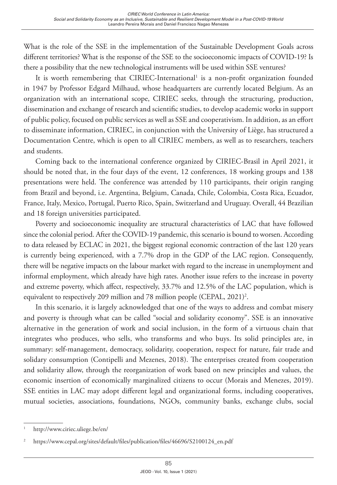What is the role of the SSE in the implementation of the Sustainable Development Goals across different territories? What is the response of the SSE to the socioeconomic impacts of COVID-19? Is there a possibility that the new technological instruments will be used within SSE ventures?

It is worth remembering that CIRIEC-International<sup>1</sup> is a non-profit organization founded in 1947 by Professor Edgard Milhaud, whose headquarters are currently located Belgium. As an organization with an international scope, CIRIEC seeks, through the structuring, production, dissemination and exchange of research and scientific studies, to develop academic works in support of public policy, focused on public services as well as SSE and cooperativism. In addition, as an effort to disseminate information, CIRIEC, in conjunction with the University of Liège, has structured a Documentation Centre, which is open to all CIRIEC members, as well as to researchers, teachers and students.

Coming back to the international conference organized by CIRIEC-Brasil in April 2021, it should be noted that, in the four days of the event, 12 conferences, 18 working groups and 138 presentations were held. The conference was attended by 110 participants, their origin ranging from Brazil and beyond, i.e. Argentina, Belgium, Canada, Chile, Colombia, Costa Rica, Ecuador, France, Italy, Mexico, Portugal, Puerto Rico, Spain, Switzerland and Uruguay. Overall, 44 Brazilian and 18 foreign universities participated.

Poverty and socioeconomic inequality are structural characteristics of LAC that have followed since the colonial period. After the COVID-19 pandemic, this scenario is bound to worsen. According to data released by ECLAC in 2021, the biggest regional economic contraction of the last 120 years is currently being experienced, with a 7.7% drop in the GDP of the LAC region. Consequently, there will be negative impacts on the labour market with regard to the increase in unemployment and informal employment, which already have high rates. Another issue refers to the increase in poverty and extreme poverty, which affect, respectively, 33.7% and 12.5% of the LAC population, which is equivalent to respectively 209 million and 78 million people (CEPAL, 2021)<sup>2</sup>.

In this scenario, it is largely acknowledged that one of the ways to address and combat misery and poverty is through what can be called "social and solidarity economy". SSE is an innovative alternative in the generation of work and social inclusion, in the form of a virtuous chain that integrates who produces, who sells, who transforms and who buys. Its solid principles are, in summary: self-management, democracy, solidarity, cooperation, respect for nature, fair trade and solidary consumption (Contipelli and Mezenes, 2018). The enterprises created from cooperation and solidarity allow, through the reorganization of work based on new principles and values, the economic insertion of economically marginalized citizens to occur (Morais and Menezes, 2019). SSE entities in LAC may adopt different legal and organizational forms, including cooperatives, mutual societies, associations, foundations, NGOs, community banks, exchange clubs, social

<sup>1</sup> <http://www.ciriec.uliege.be/en/>

<sup>2</sup> [https://www.cepal.org/sites/default/files/publication/files/46696/S2100124\\_en.pdf](https://www.cepal.org/sites/default/files/publication/files/46696/S2100124_en.pdf)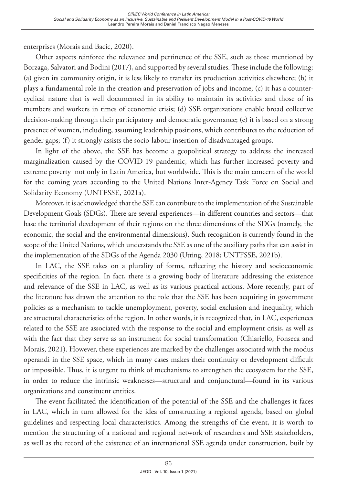enterprises (Morais and Bacic, 2020).

Other aspects reinforce the relevance and pertinence of the SSE, such as those mentioned by Borzaga, Salvatori and Bodini (2017), and supported by several studies. These include the following: (a) given its community origin, it is less likely to transfer its production activities elsewhere; (b) it plays a fundamental role in the creation and preservation of jobs and income; (c) it has a countercyclical nature that is well documented in its ability to maintain its activities and those of its members and workers in times of economic crisis; (d) SSE organizations enable broad collective decision-making through their participatory and democratic governance; (e) it is based on a strong presence of women, including, assuming leadership positions, which contributes to the reduction of gender gaps; (f) it strongly assists the socio-labour insertion of disadvantaged groups.

In light of the above, the SSE has become a geopolitical strategy to address the increased marginalization caused by the COVID-19 pandemic, which has further increased poverty and extreme poverty not only in Latin America, but worldwide. This is the main concern of the world for the coming years according to the United Nations Inter-Agency Task Force on Social and Solidarity Economy (UNTFSSE, 2021a).

Moreover, it is acknowledged that the SSE can contribute to the implementation of the Sustainable Development Goals (SDGs). There are several experiences—in different countries and sectors—that base the territorial development of their regions on the three dimensions of the SDGs (namely, the economic, the social and the environmental dimensions). Such recognition is currently found in the scope of the United Nations, which understands the SSE as one of the auxiliary paths that can assist in the implementation of the SDGs of the Agenda 2030 (Utting, 2018; UNTFSSE, 2021b).

In LAC, the SSE takes on a plurality of forms, reflecting the history and socioeconomic specificities of the region. In fact, there is a growing body of literature addressing the existence and relevance of the SSE in LAC, as well as its various practical actions. More recently, part of the literature has drawn the attention to the role that the SSE has been acquiring in government policies as a mechanism to tackle unemployment, poverty, social exclusion and inequality, which are structural characteristics of the region. In other words, it is recognized that, in LAC, experiences related to the SSE are associated with the response to the social and employment crisis, as well as with the fact that they serve as an instrument for social transformation (Chiariello, Fonseca and Morais, 2021). However, these experiences are marked by the challenges associated with the modus operandi in the SSE space, which in many cases makes their continuity or development difficult or impossible. Thus, it is urgent to think of mechanisms to strengthen the ecosystem for the SSE, in order to reduce the intrinsic weaknesses—structural and conjunctural—found in its various organizations and constituent entities.

The event facilitated the identification of the potential of the SSE and the challenges it faces in LAC, which in turn allowed for the idea of constructing a regional agenda, based on global guidelines and respecting local characteristics. Among the strengths of the event, it is worth to mention the structuring of a national and regional network of researchers and SSE stakeholders, as well as the record of the existence of an international SSE agenda under construction, built by